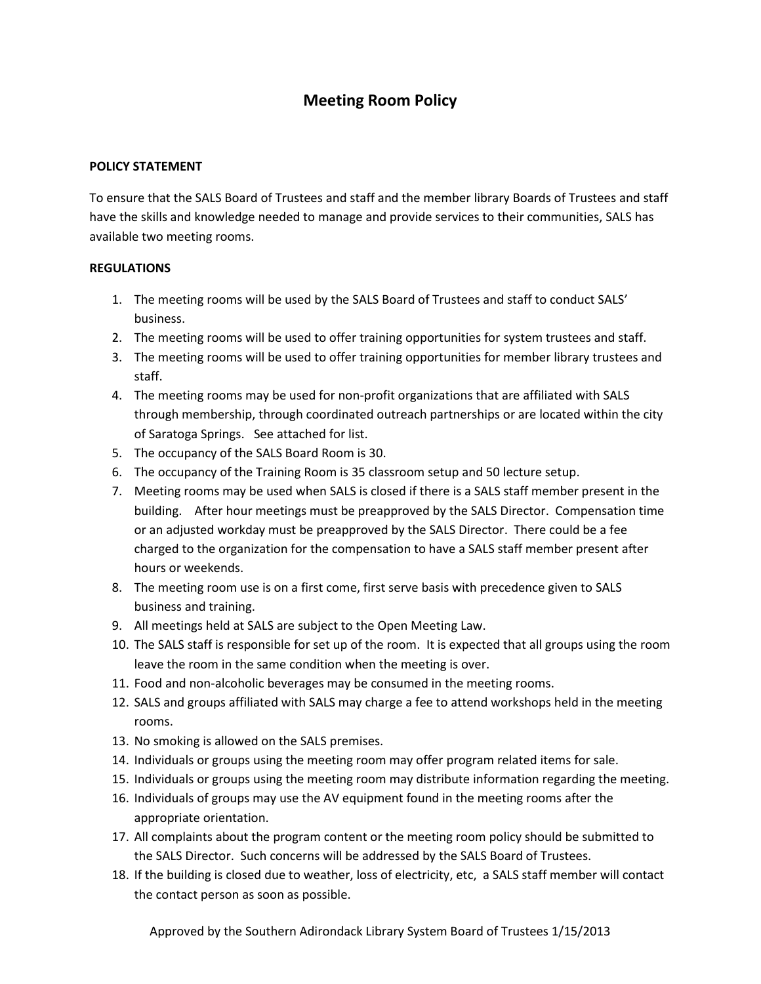## **Meeting Room Policy**

## **POLICY STATEMENT**

To ensure that the SALS Board of Trustees and staff and the member library Boards of Trustees and staff have the skills and knowledge needed to manage and provide services to their communities, SALS has available two meeting rooms.

## **REGULATIONS**

- 1. The meeting rooms will be used by the SALS Board of Trustees and staff to conduct SALS' business.
- 2. The meeting rooms will be used to offer training opportunities for system trustees and staff.
- 3. The meeting rooms will be used to offer training opportunities for member library trustees and staff.
- 4. The meeting rooms may be used for non-profit organizations that are affiliated with SALS through membership, through coordinated outreach partnerships or are located within the city of Saratoga Springs. See attached for list.
- 5. The occupancy of the SALS Board Room is 30.
- 6. The occupancy of the Training Room is 35 classroom setup and 50 lecture setup.
- 7. Meeting rooms may be used when SALS is closed if there is a SALS staff member present in the building. After hour meetings must be preapproved by the SALS Director. Compensation time or an adjusted workday must be preapproved by the SALS Director. There could be a fee charged to the organization for the compensation to have a SALS staff member present after hours or weekends.
- 8. The meeting room use is on a first come, first serve basis with precedence given to SALS business and training.
- 9. All meetings held at SALS are subject to the Open Meeting Law.
- 10. The SALS staff is responsible for set up of the room. It is expected that all groups using the room leave the room in the same condition when the meeting is over.
- 11. Food and non-alcoholic beverages may be consumed in the meeting rooms.
- 12. SALS and groups affiliated with SALS may charge a fee to attend workshops held in the meeting rooms.
- 13. No smoking is allowed on the SALS premises.
- 14. Individuals or groups using the meeting room may offer program related items for sale.
- 15. Individuals or groups using the meeting room may distribute information regarding the meeting.
- 16. Individuals of groups may use the AV equipment found in the meeting rooms after the appropriate orientation.
- 17. All complaints about the program content or the meeting room policy should be submitted to the SALS Director. Such concerns will be addressed by the SALS Board of Trustees.
- 18. If the building is closed due to weather, loss of electricity, etc, a SALS staff member will contact the contact person as soon as possible.

Approved by the Southern Adirondack Library System Board of Trustees 1/15/2013